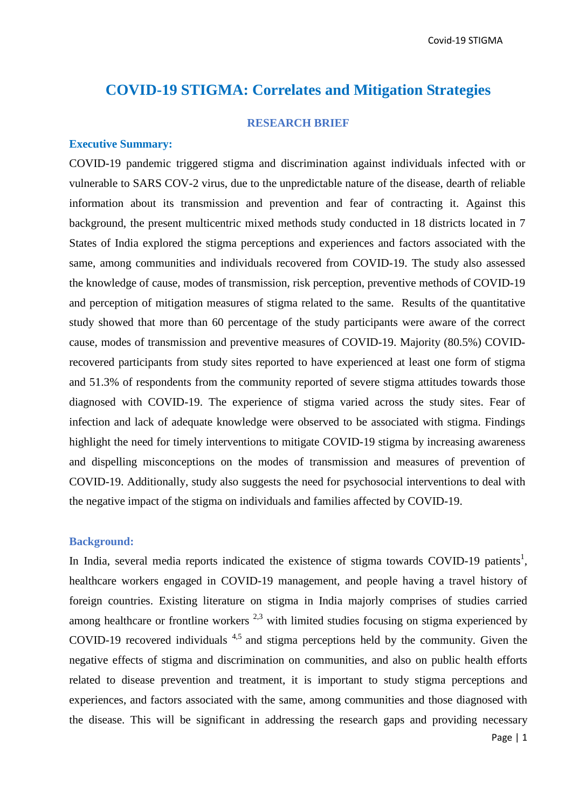# **COVID-19 STIGMA: Correlates and Mitigation Strategies**

### **RESEARCH BRIEF**

#### **Executive Summary:**

COVID-19 pandemic triggered stigma and discrimination against individuals infected with or vulnerable to SARS COV-2 virus, due to the unpredictable nature of the disease, dearth of reliable information about its transmission and prevention and fear of contracting it. Against this background, the present multicentric mixed methods study conducted in 18 districts located in 7 States of India explored the stigma perceptions and experiences and factors associated with the same, among communities and individuals recovered from COVID-19. The study also assessed the knowledge of cause, modes of transmission, risk perception, preventive methods of COVID-19 and perception of mitigation measures of stigma related to the same. Results of the quantitative study showed that more than 60 percentage of the study participants were aware of the correct cause, modes of transmission and preventive measures of COVID-19. Majority (80.5%) COVIDrecovered participants from study sites reported to have experienced at least one form of stigma and 51.3% of respondents from the community reported of severe stigma attitudes towards those diagnosed with COVID-19. The experience of stigma varied across the study sites. Fear of infection and lack of adequate knowledge were observed to be associated with stigma. Findings highlight the need for timely interventions to mitigate COVID-19 stigma by increasing awareness and dispelling misconceptions on the modes of transmission and measures of prevention of COVID-19. Additionally, study also suggests the need for psychosocial interventions to deal with the negative impact of the stigma on individuals and families affected by COVID-19.

### **Background:**

In India, several media reports indicated the existence of stigma towards COVID-19 patients<sup>1</sup>, healthcare workers engaged in COVID-19 management, and people having a travel history of foreign countries. Existing literature on stigma in India majorly comprises of studies carried among healthcare or frontline workers  $^{2,3}$  with limited studies focusing on stigma experienced by COVID-19 recovered individuals 4,5 and stigma perceptions held by the community. Given the negative effects of stigma and discrimination on communities, and also on public health efforts related to disease prevention and treatment, it is important to study stigma perceptions and experiences, and factors associated with the same, among communities and those diagnosed with the disease. This will be significant in addressing the research gaps and providing necessary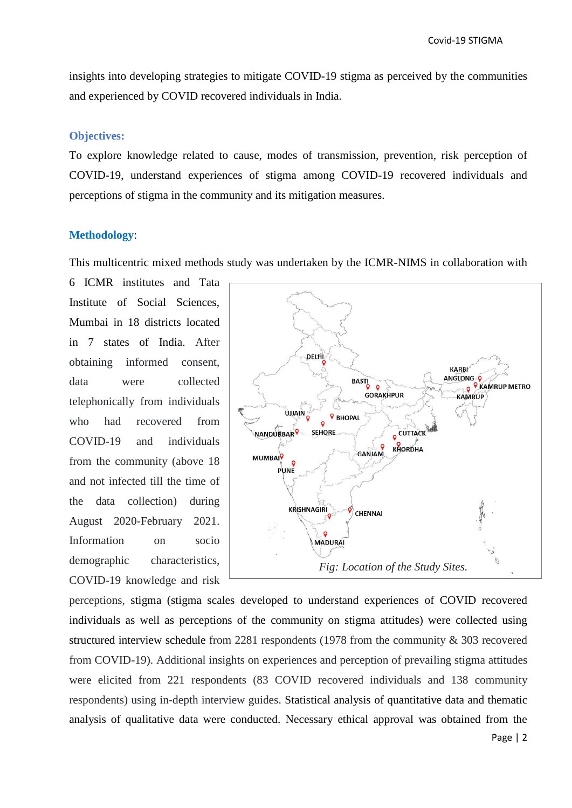insights into developing strategies to mitigate COVID-19 stigma as perceived by the communities and experienced by COVID recovered individuals in India.

#### **Objectives:**

To explore knowledge related to cause, modes of transmission, prevention, risk perception of COVID-19, understand experiences of stigma among COVID-19 recovered individuals and perceptions of stigma in the community and its mitigation measures.

### **Methodology**:

This multicentric mixed methods study was undertaken by the ICMR-NIMS in collaboration with

6 ICMR institutes and Tata Institute of Social Sciences, Mumbai in 18 districts located in 7 states of India. After obtaining informed consent, data were collected telephonically from individuals who had recovered from COVID-19 and individuals from the community (above 18 and not infected till the time of the data collection) during August 2020-February 2021. Information on socio demographic characteristics, COVID-19 knowledge and risk



perceptions, stigma (stigma scales developed to understand experiences of COVID recovered individuals as well as perceptions of the community on stigma attitudes) were collected using structured interview schedule from 2281 respondents (1978 from the community & 303 recovered from COVID-19). Additional insights on experiences and perception of prevailing stigma attitudes were elicited from 221 respondents (83 COVID recovered individuals and 138 community respondents) using in-depth interview guides. Statistical analysis of quantitative data and thematic analysis of qualitative data were conducted. Necessary ethical approval was obtained from the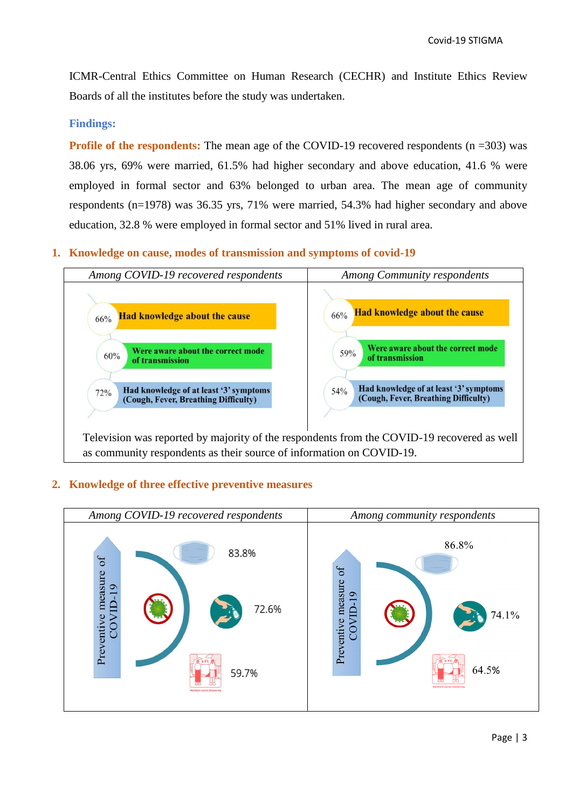ICMR-Central Ethics Committee on Human Research (CECHR) and Institute Ethics Review Boards of all the institutes before the study was undertaken.

# **Findings:**

**Profile of the respondents:** The mean age of the COVID-19 recovered respondents (n =303) was 38.06 yrs, 69% were married, 61.5% had higher secondary and above education, 41.6 % were employed in formal sector and 63% belonged to urban area. The mean age of community respondents (n=1978) was 36.35 yrs, 71% were married, 54.3% had higher secondary and above education, 32.8 % were employed in formal sector and 51% lived in rural area.

# **1. Knowledge on cause, modes of transmission and symptoms of covid-19**



# **2. Knowledge of three effective preventive measures**

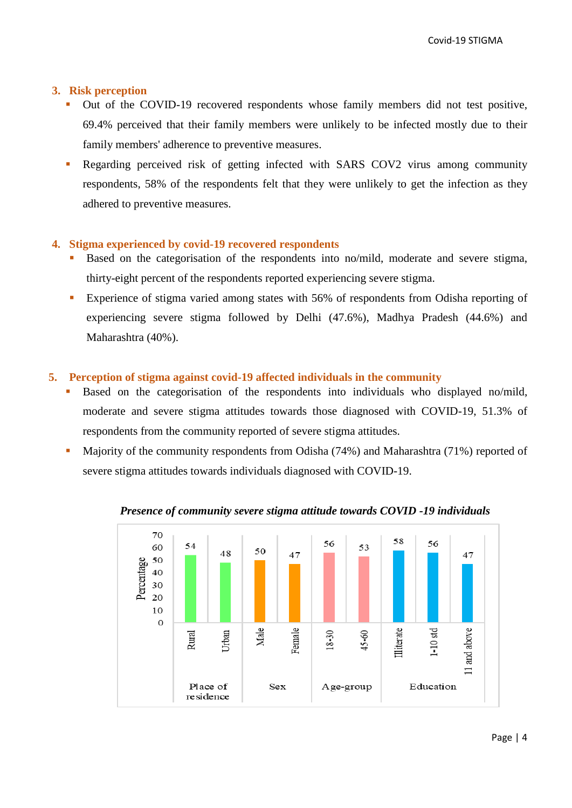# **3. Risk perception**

- Out of the COVID-19 recovered respondents whose family members did not test positive, 69.4% perceived that their family members were unlikely to be infected mostly due to their family members' adherence to preventive measures.
- Regarding perceived risk of getting infected with SARS COV2 virus among community respondents, 58% of the respondents felt that they were unlikely to get the infection as they adhered to preventive measures.

# **4. Stigma experienced by covid-19 recovered respondents**

- Based on the categorisation of the respondents into no/mild, moderate and severe stigma, thirty-eight percent of the respondents reported experiencing severe stigma.
- Experience of stigma varied among states with 56% of respondents from Odisha reporting of experiencing severe stigma followed by Delhi (47.6%), Madhya Pradesh (44.6%) and Maharashtra (40%).

# **5. Perception of stigma against covid-19 affected individuals in the community**

- Based on the categorisation of the respondents into individuals who displayed no/mild, moderate and severe stigma attitudes towards those diagnosed with COVID-19, 51.3% of respondents from the community reported of severe stigma attitudes.
- Majority of the community respondents from Odisha (74%) and Maharashtra (71%) reported of severe stigma attitudes towards individuals diagnosed with COVID-19.



# *Presence of community severe stigma attitude towards COVID -19 individuals*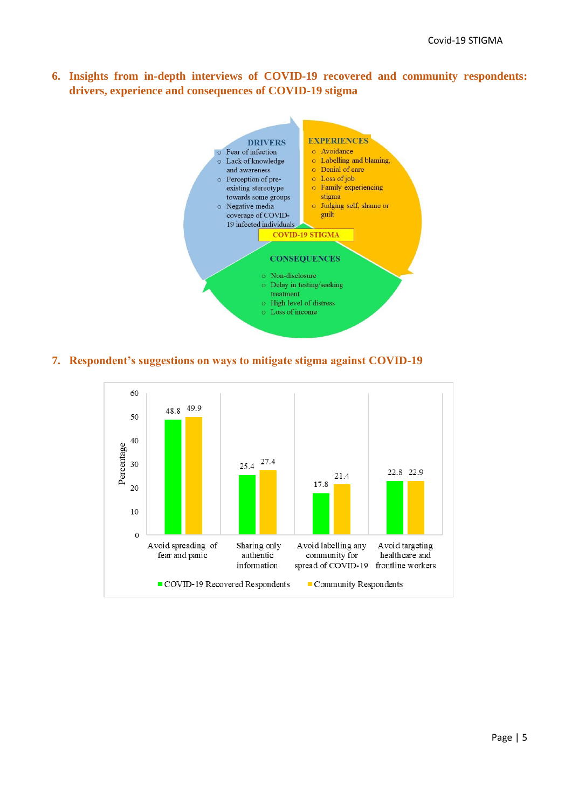**6. Insights from in-depth interviews of COVID-19 recovered and community respondents: drivers, experience and consequences of COVID-19 stigma**



### **7. Respondent's suggestions on ways to mitigate stigma against COVID-19**